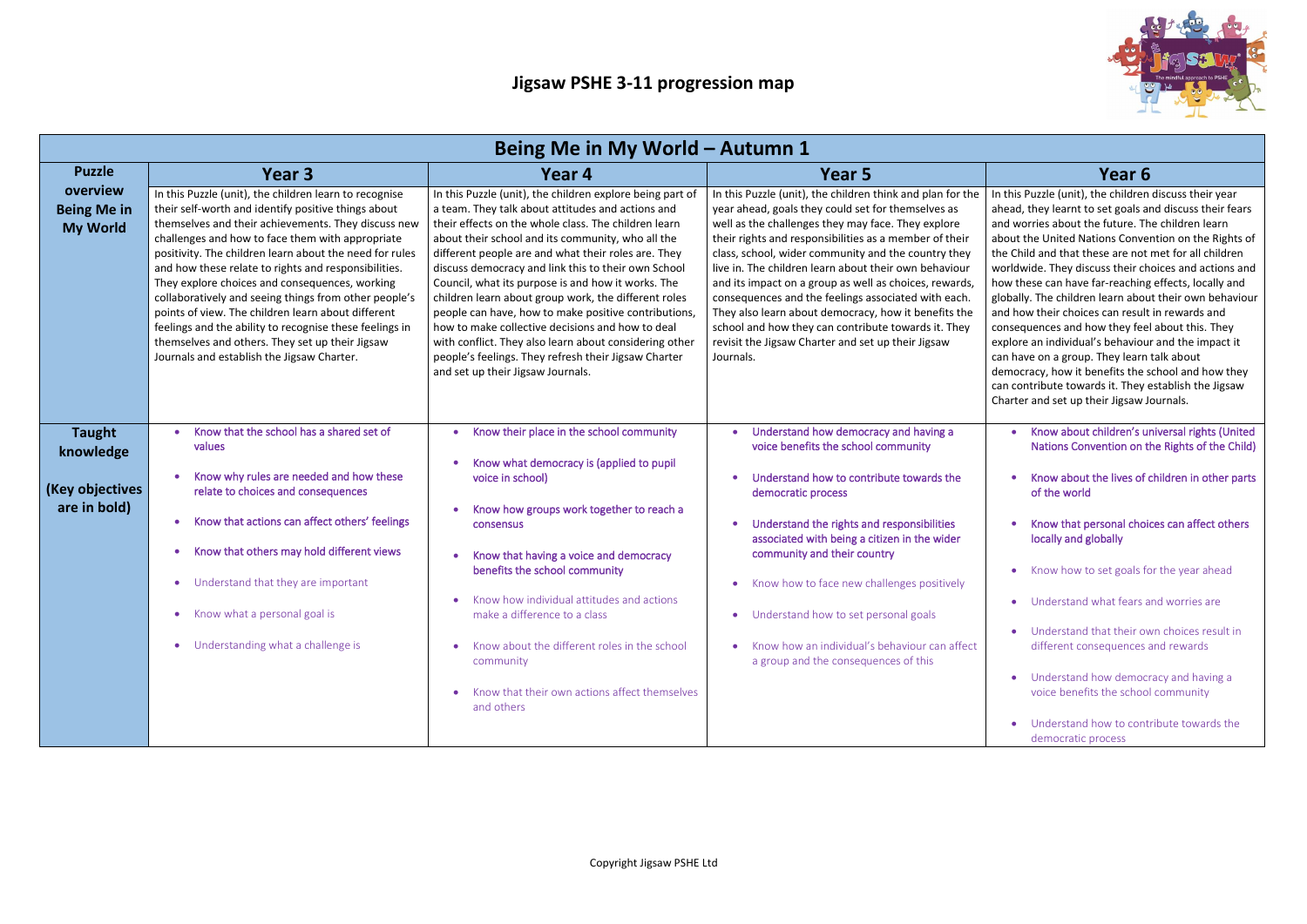

| Being Me in My World – Autumn 1                   |                                                                                                                                                                                                                                                                                                                                                                                                                                                                                                                                                                                                                                                                          |                                                                                                                                                                                                                                                                                                                                                                                                                                                                                                                                                                                                                                                                                                                            |                                                                                                                                                                                                                                                                                                                                                                                                                                                                                                                                                                                                                                                     |                                                                                                                                                                                                                                                                                                                                                                                                                                                                                                                                                        |
|---------------------------------------------------|--------------------------------------------------------------------------------------------------------------------------------------------------------------------------------------------------------------------------------------------------------------------------------------------------------------------------------------------------------------------------------------------------------------------------------------------------------------------------------------------------------------------------------------------------------------------------------------------------------------------------------------------------------------------------|----------------------------------------------------------------------------------------------------------------------------------------------------------------------------------------------------------------------------------------------------------------------------------------------------------------------------------------------------------------------------------------------------------------------------------------------------------------------------------------------------------------------------------------------------------------------------------------------------------------------------------------------------------------------------------------------------------------------------|-----------------------------------------------------------------------------------------------------------------------------------------------------------------------------------------------------------------------------------------------------------------------------------------------------------------------------------------------------------------------------------------------------------------------------------------------------------------------------------------------------------------------------------------------------------------------------------------------------------------------------------------------------|--------------------------------------------------------------------------------------------------------------------------------------------------------------------------------------------------------------------------------------------------------------------------------------------------------------------------------------------------------------------------------------------------------------------------------------------------------------------------------------------------------------------------------------------------------|
| <b>Puzzle</b>                                     | Year 3                                                                                                                                                                                                                                                                                                                                                                                                                                                                                                                                                                                                                                                                   | Year 4                                                                                                                                                                                                                                                                                                                                                                                                                                                                                                                                                                                                                                                                                                                     | Year 5                                                                                                                                                                                                                                                                                                                                                                                                                                                                                                                                                                                                                                              | Year 6                                                                                                                                                                                                                                                                                                                                                                                                                                                                                                                                                 |
| overview<br><b>Being Me in</b><br><b>My World</b> | In this Puzzle (unit), the children learn to recognise<br>their self-worth and identify positive things about<br>themselves and their achievements. They discuss new<br>challenges and how to face them with appropriate<br>positivity. The children learn about the need for rules<br>and how these relate to rights and responsibilities.<br>They explore choices and consequences, working<br>collaboratively and seeing things from other people's<br>points of view. The children learn about different<br>feelings and the ability to recognise these feelings in<br>themselves and others. They set up their Jigsaw<br>Journals and establish the Jigsaw Charter. | In this Puzzle (unit), the children explore being part of<br>a team. They talk about attitudes and actions and<br>their effects on the whole class. The children learn<br>about their school and its community, who all the<br>different people are and what their roles are. They<br>discuss democracy and link this to their own School<br>Council, what its purpose is and how it works. The<br>children learn about group work, the different roles<br>people can have, how to make positive contributions,<br>how to make collective decisions and how to deal<br>with conflict. They also learn about considering other<br>people's feelings. They refresh their Jigsaw Charter<br>and set up their Jigsaw Journals. | In this Puzzle (unit), the children think and plan for the<br>year ahead, goals they could set for themselves as<br>well as the challenges they may face. They explore<br>their rights and responsibilities as a member of their<br>class, school, wider community and the country they<br>live in. The children learn about their own behaviour<br>and its impact on a group as well as choices, rewards,<br>consequences and the feelings associated with each.<br>They also learn about democracy, how it benefits the<br>school and how they can contribute towards it. They<br>revisit the Jigsaw Charter and set up their Jigsaw<br>Journals. | In this Puzzle (unit), the children<br>ahead, they learnt to set goals a<br>and worries about the future. Th<br>about the United Nations Conve<br>the Child and that these are not<br>worldwide. They discuss their ch<br>how these can have far-reaching<br>globally. The children learn abou<br>and how their choices can result<br>consequences and how they fee<br>explore an individual's behaviou<br>can have on a group. They learn<br>democracy, how it benefits the s<br>can contribute towards it. They<br>Charter and set up their Jigsaw J |
| <b>Taught</b><br>knowledge<br>(Key objectives     | Know that the school has a shared set of<br>values<br>Know why rules are needed and how these<br>relate to choices and consequences                                                                                                                                                                                                                                                                                                                                                                                                                                                                                                                                      | Know their place in the school community<br>Know what democracy is (applied to pupil<br>voice in school)                                                                                                                                                                                                                                                                                                                                                                                                                                                                                                                                                                                                                   | Understand how democracy and having a<br>voice benefits the school community<br>Understand how to contribute towards the<br>democratic process                                                                                                                                                                                                                                                                                                                                                                                                                                                                                                      | Know about children's u<br><b>Nations Convention on t</b><br>Know about the lives of<br>of the world                                                                                                                                                                                                                                                                                                                                                                                                                                                   |
| are in bold)                                      | Know that actions can affect others' feelings<br>Know that others may hold different views                                                                                                                                                                                                                                                                                                                                                                                                                                                                                                                                                                               | Know how groups work together to reach a<br>consensus<br>Know that having a voice and democracy                                                                                                                                                                                                                                                                                                                                                                                                                                                                                                                                                                                                                            | Understand the rights and responsibilities<br>associated with being a citizen in the wider<br>community and their country                                                                                                                                                                                                                                                                                                                                                                                                                                                                                                                           | Know that personal choi<br>locally and globally                                                                                                                                                                                                                                                                                                                                                                                                                                                                                                        |
|                                                   | Understand that they are important<br>Know what a personal goal is                                                                                                                                                                                                                                                                                                                                                                                                                                                                                                                                                                                                       | benefits the school community<br>Know how individual attitudes and actions<br>make a difference to a class                                                                                                                                                                                                                                                                                                                                                                                                                                                                                                                                                                                                                 | Know how to face new challenges positively<br>Understand how to set personal goals<br>$\bullet$                                                                                                                                                                                                                                                                                                                                                                                                                                                                                                                                                     | Know how to set goals fo<br>Understand what fears a                                                                                                                                                                                                                                                                                                                                                                                                                                                                                                    |
|                                                   | • Understanding what a challenge is                                                                                                                                                                                                                                                                                                                                                                                                                                                                                                                                                                                                                                      | Know about the different roles in the school<br>community<br>Know that their own actions affect themselves<br>and others                                                                                                                                                                                                                                                                                                                                                                                                                                                                                                                                                                                                   | Know how an individual's behaviour can affect<br>a group and the consequences of this                                                                                                                                                                                                                                                                                                                                                                                                                                                                                                                                                               | • Understand that their ov<br>different consequences<br>Understand how democ<br>voice benefits the schoo<br>Understand how to cont<br>democratic process                                                                                                                                                                                                                                                                                                                                                                                               |

In this Puzzle (unit), the children discuss their year ahead, they learnt to set goals and discuss their fears and worries about the future. The children learn about the United Nations Convention on the Rights of the Child and that these are not met for all children worldwide. They discuss their choices and actions and how these can have far-reaching effects, locally and globally. The children learn about their own behaviour and how their choices can result in rewards and consequences and how they feel about this. They explore an individual's behaviour and the impact it can have on a group. They learn talk about democracy, how it benefits the school and how they can contribute towards it. They establish the Jigsaw Charter and set up their Jigsaw Journals.

- Know about children's universal rights (United Nations Convention on the Rights of the Child)
- Know about the lives of children in other parts of the world
- Know that personal choices can affect others locally and globally
- Know how to set goals for the year ahead
- Understand what fears and worries are
- Understand that their own choices result in different consequences and rewards
- Understand how democracy and having a voice benefits the school community
- Understand how to contribute towards the democratic process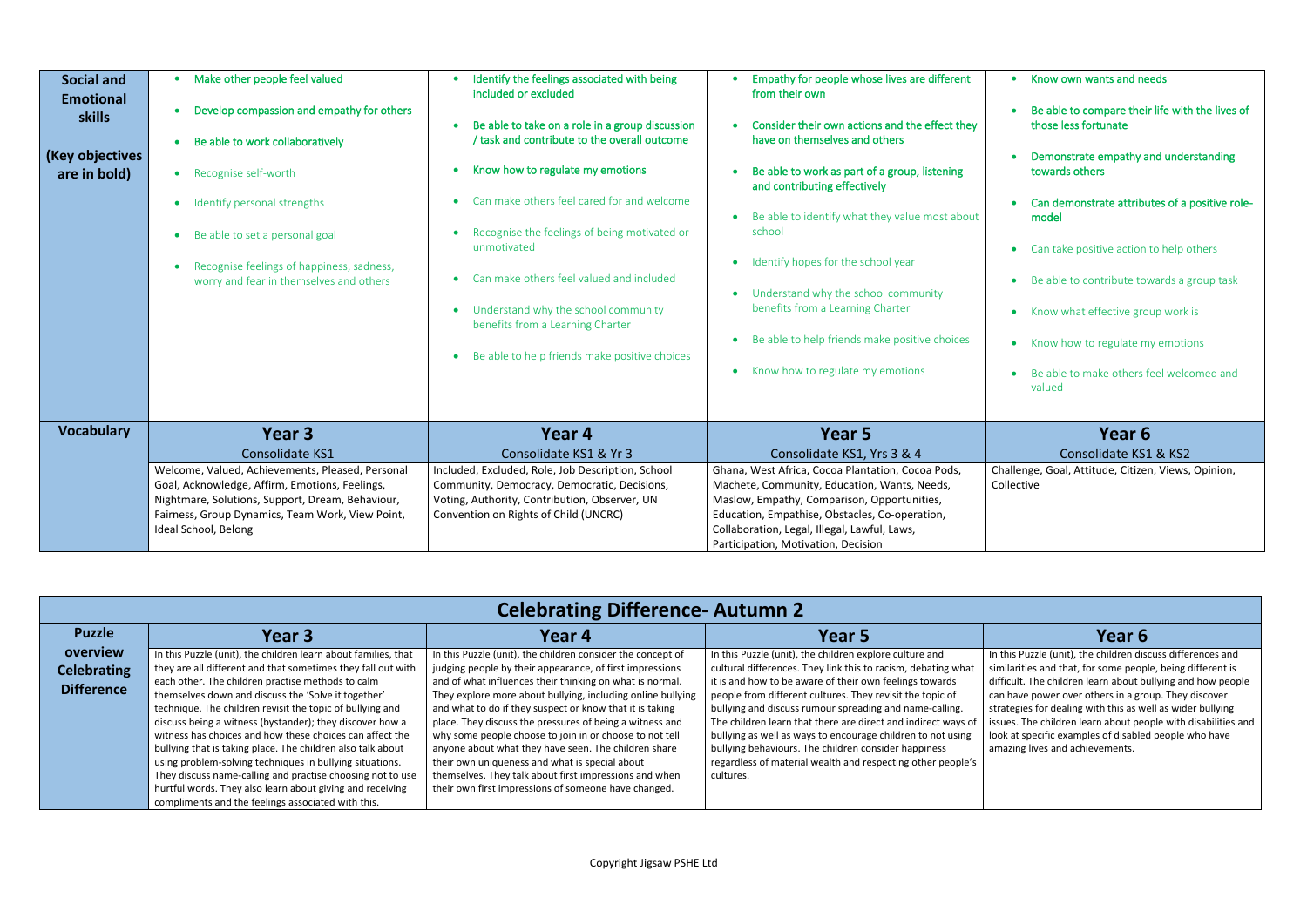| <b>Celebrating Difference- Autumn 2</b> |  |
|-----------------------------------------|--|
|                                         |  |

| <b>Puzzle</b>      | Year 3                                                         | Year 4                                                      | Year 5                                                        | Year 6                                  |
|--------------------|----------------------------------------------------------------|-------------------------------------------------------------|---------------------------------------------------------------|-----------------------------------------|
| overview           | In this Puzzle (unit), the children learn about families, that | In this Puzzle (unit), the children consider the concept of | In this Puzzle (unit), the children explore culture and       | In this Puzzle (unit), the children dis |
| <b>Celebrating</b> | they are all different and that sometimes they fall out with   | judging people by their appearance, of first impressions    | cultural differences. They link this to racism, debating what | similarities and that, for some peop    |
| <b>Difference</b>  | each other. The children practise methods to calm              | and of what influences their thinking on what is normal.    | it is and how to be aware of their own feelings towards       | difficult. The children learn about b   |
|                    | themselves down and discuss the 'Solve it together'            | They explore more about bullying, including online bullying | people from different cultures. They revisit the topic of     | can have power over others in a gro     |
|                    | technique. The children revisit the topic of bullying and      | and what to do if they suspect or know that it is taking    | bullying and discuss rumour spreading and name-calling.       | strategies for dealing with this as w   |
|                    | discuss being a witness (bystander); they discover how a       | place. They discuss the pressures of being a witness and    | The children learn that there are direct and indirect ways of | issues. The children learn about peo    |
|                    | witness has choices and how these choices can affect the       | why some people choose to join in or choose to not tell     | bullying as well as ways to encourage children to not using   | look at specific examples of disable    |
|                    | bullying that is taking place. The children also talk about    | anyone about what they have seen. The children share        | bullying behaviours. The children consider happiness          | amazing lives and achievements.         |
|                    | using problem-solving techniques in bullying situations.       | their own uniqueness and what is special about              | regardless of material wealth and respecting other people's   |                                         |
|                    | They discuss name-calling and practise choosing not to use     | themselves. They talk about first impressions and when      | cultures.                                                     |                                         |
|                    | hurtful words. They also learn about giving and receiving      | their own first impressions of someone have changed.        |                                                               |                                         |
|                    | compliments and the feelings associated with this.             |                                                             |                                                               |                                         |

In this Puzzle (unit), the children discuss differences and similarities and that, for some people, being different is difficult. The children learn about bullying and how people can have power over others in a group. They discover strategies for dealing with this as well as wider bullying issues. The children learn about people with disabilities and look at specific examples of disabled people who have amazing lives and achievements.

| <b>Social and</b><br><b>Emotional</b><br><b>skills</b><br>(Key objectives<br>are in bold) | Make other people feel valued<br>$\bullet$<br>Develop compassion and empathy for others<br>Be able to work collaboratively<br>Recognise self-worth<br>$\bullet$<br>Identify personal strengths<br>Be able to set a personal goal<br>Recognise feelings of happiness, sadness,<br>worry and fear in themselves and others | Identify the feelings associated with being<br>included or excluded<br>Be able to take on a role in a group discussion<br>/ task and contribute to the overall outcome<br>Know how to regulate my emotions<br>Can make others feel cared for and welcome<br>Recognise the feelings of being motivated or<br>unmotivated<br>Can make others feel valued and included<br>Understand why the school community<br>benefits from a Learning Charter<br>Be able to help friends make positive choices | Empathy for people whose lives are different<br>from their own<br>Consider their own actions and the effect they<br>have on themselves and others<br>Be able to work as part of a group, listening<br>and contributing effectively<br>Be able to identify what they value most about<br>school<br>Identify hopes for the school year<br>Understand why the school community<br>benefits from a Learning Charter<br>Be able to help friends make positive choices<br>Know how to regulate my emotions |
|-------------------------------------------------------------------------------------------|--------------------------------------------------------------------------------------------------------------------------------------------------------------------------------------------------------------------------------------------------------------------------------------------------------------------------|-------------------------------------------------------------------------------------------------------------------------------------------------------------------------------------------------------------------------------------------------------------------------------------------------------------------------------------------------------------------------------------------------------------------------------------------------------------------------------------------------|------------------------------------------------------------------------------------------------------------------------------------------------------------------------------------------------------------------------------------------------------------------------------------------------------------------------------------------------------------------------------------------------------------------------------------------------------------------------------------------------------|
| <b>Vocabulary</b>                                                                         | Year <sub>3</sub>                                                                                                                                                                                                                                                                                                        | Year 4                                                                                                                                                                                                                                                                                                                                                                                                                                                                                          | Year 5                                                                                                                                                                                                                                                                                                                                                                                                                                                                                               |
|                                                                                           | Consolidate KS1                                                                                                                                                                                                                                                                                                          | Consolidate KS1 & Yr 3                                                                                                                                                                                                                                                                                                                                                                                                                                                                          | Consolidate KS1, Yrs 3 & 4                                                                                                                                                                                                                                                                                                                                                                                                                                                                           |
|                                                                                           | Welcome, Valued, Achievements, Pleased, Personal                                                                                                                                                                                                                                                                         | Included, Excluded, Role, Job Description, School                                                                                                                                                                                                                                                                                                                                                                                                                                               | Ghana, West Africa, Cocoa Plantation, Cocoa Pods,                                                                                                                                                                                                                                                                                                                                                                                                                                                    |
|                                                                                           | Goal, Acknowledge, Affirm, Emotions, Feelings,                                                                                                                                                                                                                                                                           | Community, Democracy, Democratic, Decisions,                                                                                                                                                                                                                                                                                                                                                                                                                                                    | Machete, Community, Education, Wants, Needs,                                                                                                                                                                                                                                                                                                                                                                                                                                                         |
|                                                                                           | Nightmare, Solutions, Support, Dream, Behaviour,<br>Fairness, Group Dynamics, Team Work, View Point,<br>Ideal School, Belong                                                                                                                                                                                             | Voting, Authority, Contribution, Observer, UN<br>Convention on Rights of Child (UNCRC)                                                                                                                                                                                                                                                                                                                                                                                                          | Maslow, Empathy, Comparison, Opportunities,<br>Education, Empathise, Obstacles, Co-operation,<br>Collaboration, Legal, Illegal, Lawful, Laws,<br>Participation, Motivation, Decision                                                                                                                                                                                                                                                                                                                 |

- Know own wants and needs • Be able to compare their life with the lives of those less fortunate • Demonstrate empathy and understanding towards others • Can demonstrate attributes of a positive rolemodel • Can take positive action to help others • Be able to contribute towards a group task • Know what effective group work is • Know how to regulate my emotions
- Be able to make others feel welcomed and valued

# **Year 6**

### Consolidate KS1 & KS2

Challenge, Goal, Attitude, Citizen, Views, Opinion, Collective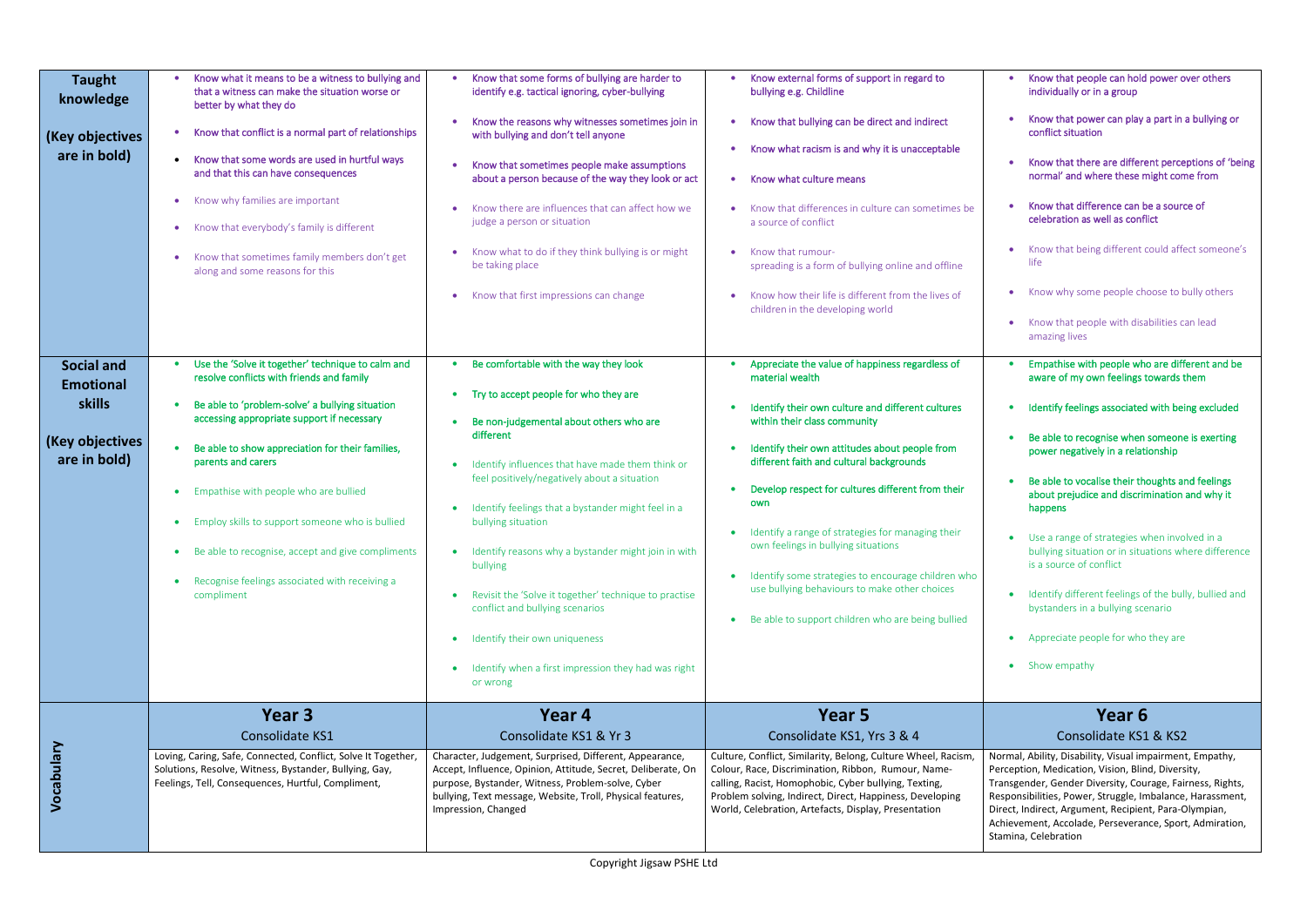| <b>Taught</b><br>knowledge<br>(Key objectives<br>are in bold)                      | Know what it means to be a witness to bullying and<br>that a witness can make the situation worse or<br>better by what they do<br>Know that conflict is a normal part of relationships<br>Know that some words are used in hurtful ways<br>$\bullet$<br>and that this can have consequences<br>Know why families are important<br>$\bullet$<br>Know that everybody's family is different<br>$\bullet$<br>Know that sometimes family members don't get<br>along and some reasons for this     | Know that some forms of bullying are harder to<br>$\bullet$<br>identify e.g. tactical ignoring, cyber-bullying<br>Know the reasons why witnesses sometimes join in<br>with bullying and don't tell anyone<br>Know that sometimes people make assumptions<br>$\bullet$<br>about a person because of the way they look or act<br>Know there are influences that can affect how we<br>judge a person or situation<br>Know what to do if they think bullying is or might<br>be taking place<br>Know that first impressions can change<br>$\bullet$                                                           | Know external forms of support in regard to<br>bullying e.g. Childline<br>Know that bullying can be direct and indirect<br>$\bullet$<br>Know what racism is and why it is unacceptable<br>Know what culture means<br>Know that differences in culture can sometimes be<br>a source of conflict<br>Know that rumour-<br>spreading is a form of bullying online and offline<br>Know how their life is different from the lives of<br>children in the developing world                                                                                                       |
|------------------------------------------------------------------------------------|----------------------------------------------------------------------------------------------------------------------------------------------------------------------------------------------------------------------------------------------------------------------------------------------------------------------------------------------------------------------------------------------------------------------------------------------------------------------------------------------|----------------------------------------------------------------------------------------------------------------------------------------------------------------------------------------------------------------------------------------------------------------------------------------------------------------------------------------------------------------------------------------------------------------------------------------------------------------------------------------------------------------------------------------------------------------------------------------------------------|---------------------------------------------------------------------------------------------------------------------------------------------------------------------------------------------------------------------------------------------------------------------------------------------------------------------------------------------------------------------------------------------------------------------------------------------------------------------------------------------------------------------------------------------------------------------------|
| <b>Social and</b><br><b>Emotional</b><br>skills<br>(Key objectives<br>are in bold) | Use the 'Solve it together' technique to calm and<br>resolve conflicts with friends and family<br>Be able to 'problem-solve' a bullying situation<br>accessing appropriate support if necessary<br>Be able to show appreciation for their families,<br>parents and carers<br>Empathise with people who are bullied<br>Employ skills to support someone who is bullied<br>• Be able to recognise, accept and give compliments<br>Recognise feelings associated with receiving a<br>compliment | Be comfortable with the way they look<br>Try to accept people for who they are<br>$\bullet$<br>Be non-judgemental about others who are<br>different<br>Identify influences that have made them think or<br>feel positively/negatively about a situation<br>Identify feelings that a bystander might feel in a<br>bullying situation<br>• Identify reasons why a bystander might join in with<br>bullying<br>Revisit the 'Solve it together' technique to practise<br>conflict and bullying scenarios<br>Identify their own uniqueness<br>Identify when a first impression they had was right<br>or wrong | Appreciate the value of happiness regardless of<br>material wealth<br>Identify their own culture and different cultures<br>within their class community<br>Identify their own attitudes about people from<br>different faith and cultural backgrounds<br>Develop respect for cultures different from their<br>own<br>Identify a range of strategies for managing their<br>own feelings in bullying situations<br>Identify some strategies to encourage children who<br>use bullying behaviours to make other choices<br>Be able to support children who are being bullied |
| Vocabulary                                                                         | Year 3<br><b>Consolidate KS1</b><br>Loving, Caring, Safe, Connected, Conflict, Solve It Together,<br>Solutions, Resolve, Witness, Bystander, Bullying, Gay,<br>Feelings, Tell, Consequences, Hurtful, Compliment,                                                                                                                                                                                                                                                                            | Year 4<br>Consolidate KS1 & Yr 3<br>Character, Judgement, Surprised, Different, Appearance,<br>Accept, Influence, Opinion, Attitude, Secret, Deliberate, On<br>purpose, Bystander, Witness, Problem-solve, Cyber<br>bullying, Text message, Website, Troll, Physical features,<br>Impression, Changed                                                                                                                                                                                                                                                                                                    | Year 5<br>Consolidate KS1, Yrs 3 & 4<br>Culture, Conflict, Similarity, Belong, Culture Wheel, Racism,<br>Colour, Race, Discrimination, Ribbon, Rumour, Name-<br>calling, Racist, Homophobic, Cyber bullying, Texting,<br>Problem solving, Indirect, Direct, Happiness, Developing<br>World, Celebration, Artefacts, Display, Presentation                                                                                                                                                                                                                                 |

- Know that people can hold power over others individually or in a group
- Know that power can play a part in a bullying or conflict situation
- Know that there are different perceptions of 'being normal' and where these might come from
- Know that difference can be a source of celebration as well as conflict
- Know that being different could affect someone's life
- Know why some people choose to bully others
- Know that people with disabilities can lead amazing lives
- Empathise with people who are different and be aware of my own feelings towards them
- Identify feelings associated with being excluded
- Be able to recognise when someone is exerting power negatively in a relationship
- Be able to vocalise their thoughts and feelings about prejudice and discrimination and why it happens
- Use a range of strategies when involved in a bullying situation or in situations where difference is a source of conflict
- Identify different feelings of the bully, bullied and bystanders in a bullying scenario
- Appreciate people for who they are
- Show empathy

### **Year 6** Consolidate KS1 & KS2

Normal, Ability, Disability, Visual impairment, Empathy, Perception, Medication, Vision, Blind, Diversity, Transgender, Gender Diversity, Courage, Fairness, Rights, Responsibilities, Power, Struggle, Imbalance, Harassment, Direct, Indirect, Argument, Recipient, Para-Olympian, Achievement, Accolade, Perseverance, Sport, Admiration, Stamina, Celebration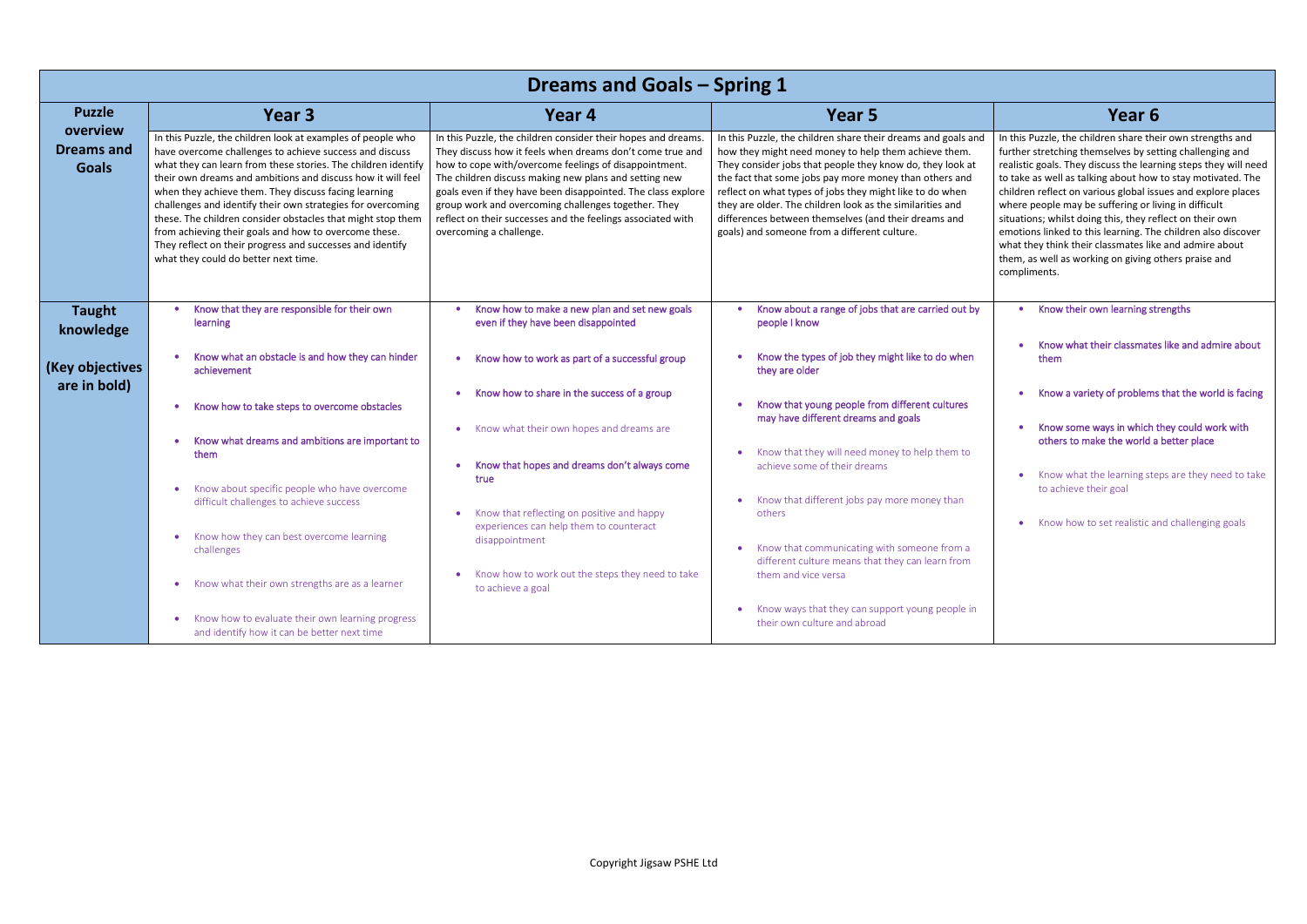In this Puzzle, the children share their own strengths and further stretching themselves by setting challenging and realistic goals. They discuss the learning steps they will need to take as well as talking about how to stay motivated. The children reflect on various global issues and explore places where people may be suffering or living in difficult situations; whilst doing this, they reflect on their own emotions linked to this learning. The children also discover what they think their classmates like and admire about them, as well as working on giving others praise and compliments.

|                                               |                                                                                                                                                                                                                                                                                                                                                                                                                                                                                                                                                                                                            | <b>Dreams and Goals - Spring 1</b>                                                                                                                                                                                                                                                                                                                                                                                                                            |                                                                                                                                                                                                                                                                                                                                                                                                                                                                               |                                                                                                                                                                                                                                                                                                                                                                                                                                       |  |
|-----------------------------------------------|------------------------------------------------------------------------------------------------------------------------------------------------------------------------------------------------------------------------------------------------------------------------------------------------------------------------------------------------------------------------------------------------------------------------------------------------------------------------------------------------------------------------------------------------------------------------------------------------------------|---------------------------------------------------------------------------------------------------------------------------------------------------------------------------------------------------------------------------------------------------------------------------------------------------------------------------------------------------------------------------------------------------------------------------------------------------------------|-------------------------------------------------------------------------------------------------------------------------------------------------------------------------------------------------------------------------------------------------------------------------------------------------------------------------------------------------------------------------------------------------------------------------------------------------------------------------------|---------------------------------------------------------------------------------------------------------------------------------------------------------------------------------------------------------------------------------------------------------------------------------------------------------------------------------------------------------------------------------------------------------------------------------------|--|
| <b>Puzzle</b>                                 | Year 3                                                                                                                                                                                                                                                                                                                                                                                                                                                                                                                                                                                                     | Year 4                                                                                                                                                                                                                                                                                                                                                                                                                                                        | Year 5                                                                                                                                                                                                                                                                                                                                                                                                                                                                        | Year <sub>6</sub>                                                                                                                                                                                                                                                                                                                                                                                                                     |  |
| overview<br><b>Dreams and</b><br><b>Goals</b> | In this Puzzle, the children look at examples of people who<br>have overcome challenges to achieve success and discuss<br>what they can learn from these stories. The children identify<br>their own dreams and ambitions and discuss how it will feel<br>when they achieve them. They discuss facing learning<br>challenges and identify their own strategies for overcoming<br>these. The children consider obstacles that might stop them<br>from achieving their goals and how to overcome these.<br>They reflect on their progress and successes and identify<br>what they could do better next time. | In this Puzzle, the children consider their hopes and dreams.<br>They discuss how it feels when dreams don't come true and<br>how to cope with/overcome feelings of disappointment.<br>The children discuss making new plans and setting new<br>goals even if they have been disappointed. The class explore<br>group work and overcoming challenges together. They<br>reflect on their successes and the feelings associated with<br>overcoming a challenge. | In this Puzzle, the children share their dreams and goals and<br>how they might need money to help them achieve them.<br>They consider jobs that people they know do, they look at<br>the fact that some jobs pay more money than others and<br>reflect on what types of jobs they might like to do when<br>they are older. The children look as the similarities and<br>differences between themselves (and their dreams and<br>goals) and someone from a different culture. | In this Puzzle, the children share the<br>further stretching themselves by set<br>realistic goals. They discuss the lear<br>to take as well as talking about how<br>children reflect on various global iss<br>where people may be suffering or li<br>situations; whilst doing this, they re<br>emotions linked to this learning. The<br>what they think their classmates like<br>them, as well as working on giving o<br>compliments. |  |
| <b>Taught</b><br>knowledge                    | Know that they are responsible for their own<br>learning                                                                                                                                                                                                                                                                                                                                                                                                                                                                                                                                                   | Know how to make a new plan and set new goals<br>even if they have been disappointed                                                                                                                                                                                                                                                                                                                                                                          | Know about a range of jobs that are carried out by<br>people I know                                                                                                                                                                                                                                                                                                                                                                                                           | Know their own learning st                                                                                                                                                                                                                                                                                                                                                                                                            |  |
| (Key objectives                               | Know what an obstacle is and how they can hinder<br>achievement                                                                                                                                                                                                                                                                                                                                                                                                                                                                                                                                            | Know how to work as part of a successful group                                                                                                                                                                                                                                                                                                                                                                                                                | Know the types of job they might like to do when<br>they are older                                                                                                                                                                                                                                                                                                                                                                                                            | Know what their classmate<br>them                                                                                                                                                                                                                                                                                                                                                                                                     |  |
| are in bold)                                  | Know how to take steps to overcome obstacles<br>Know what dreams and ambitions are important to<br>them                                                                                                                                                                                                                                                                                                                                                                                                                                                                                                    | Know how to share in the success of a group<br>Know what their own hopes and dreams are<br>Know that hopes and dreams don't always come                                                                                                                                                                                                                                                                                                                       | Know that young people from different cultures<br>may have different dreams and goals<br>Know that they will need money to help them to<br>achieve some of their dreams                                                                                                                                                                                                                                                                                                       | Know a variety of problems<br>Know some ways in which t<br>others to make the world a<br>Know what the learning ste                                                                                                                                                                                                                                                                                                                   |  |
|                                               | Know about specific people who have overcome<br>difficult challenges to achieve success<br>Know how they can best overcome learning                                                                                                                                                                                                                                                                                                                                                                                                                                                                        | true<br>Know that reflecting on positive and happy<br>experiences can help them to counteract                                                                                                                                                                                                                                                                                                                                                                 | Know that different jobs pay more money than<br>others                                                                                                                                                                                                                                                                                                                                                                                                                        | to achieve their goal<br>Know how to set realistic a                                                                                                                                                                                                                                                                                                                                                                                  |  |
|                                               | challenges<br>• Know what their own strengths are as a learner                                                                                                                                                                                                                                                                                                                                                                                                                                                                                                                                             | disappointment<br>Know how to work out the steps they need to take<br>to achieve a goal                                                                                                                                                                                                                                                                                                                                                                       | • Know that communicating with someone from a<br>different culture means that they can learn from<br>them and vice versa                                                                                                                                                                                                                                                                                                                                                      |                                                                                                                                                                                                                                                                                                                                                                                                                                       |  |
|                                               | Know how to evaluate their own learning progress<br>$\bullet$<br>and identify how it can be better next time                                                                                                                                                                                                                                                                                                                                                                                                                                                                                               |                                                                                                                                                                                                                                                                                                                                                                                                                                                               | Know ways that they can support young people in<br>$\bullet$<br>their own culture and abroad                                                                                                                                                                                                                                                                                                                                                                                  |                                                                                                                                                                                                                                                                                                                                                                                                                                       |  |

- Know their own learning strengths
- Know what their classmates like and admire about them
- Know a variety of problems that the world is facing
- Know some ways in which they could work with others to make the world a better place
- Know what the learning steps are they need to take to achieve their goal
- Know how to set realistic and challenging goals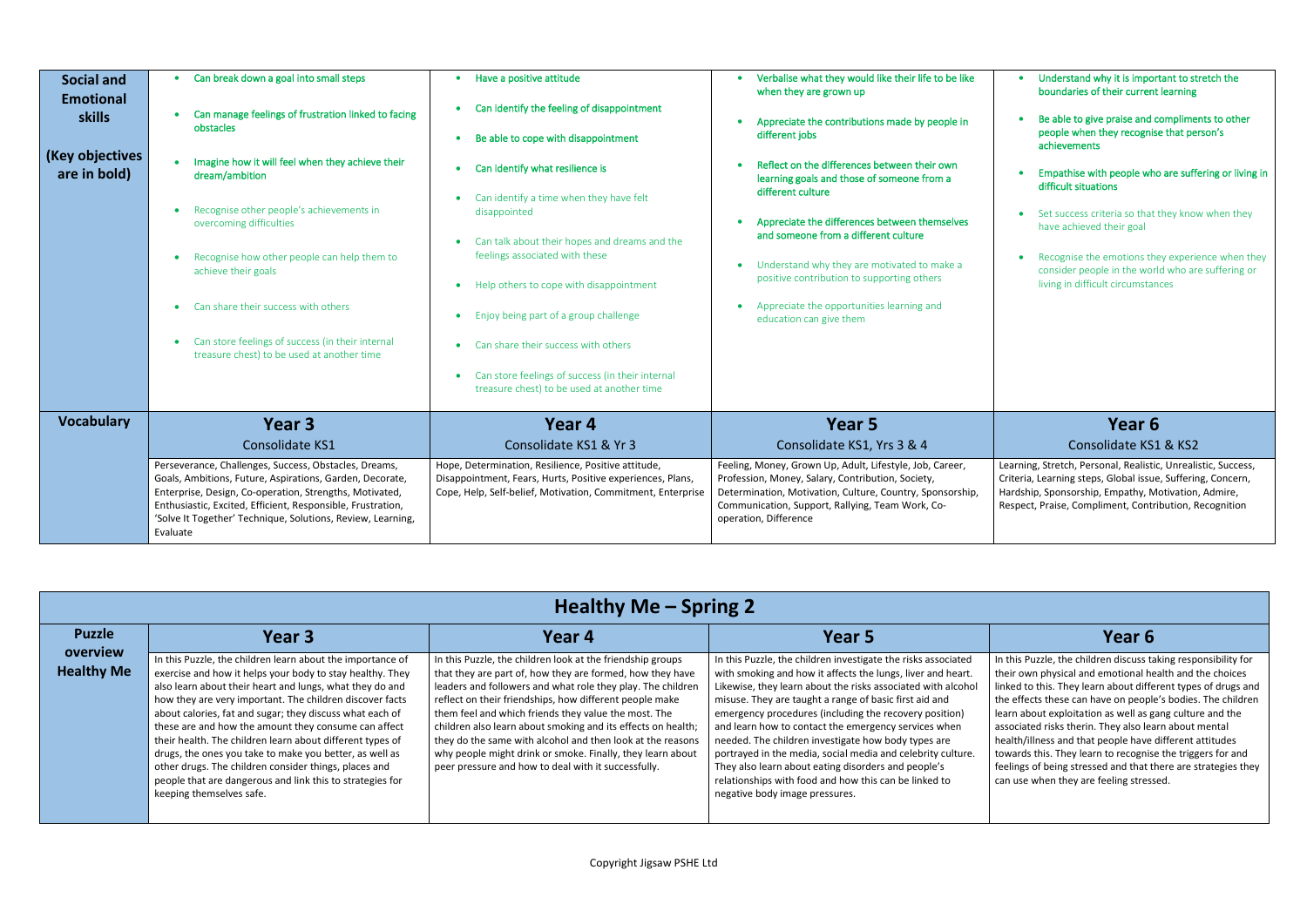| <b>Social and</b><br><b>Emotional</b><br><b>skills</b><br>(Key objectives<br>are in bold) | Can break down a goal into small steps<br>$\bullet$<br>Can manage feelings of frustration linked to facing<br>obstacles<br>Imagine how it will feel when they achieve their<br>dream/ambition<br>Recognise other people's achievements in<br>overcoming difficulties<br>Recognise how other people can help them to<br>achieve their goals<br>Can share their success with others<br>Can store feelings of success (in their internal<br>treasure chest) to be used at another time | Have a positive attitude<br>۰<br>Can identify the feeling of disappointment<br>Be able to cope with disappointment<br>$\bullet$<br>Can identify what resilience is<br>$\bullet$<br>Can identify a time when they have felt<br>disappointed<br>Can talk about their hopes and dreams and the<br>feelings associated with these<br>Help others to cope with disappointment<br>$\bullet$<br>Enjoy being part of a group challenge<br>$\bullet$<br>Can share their success with others<br>Can store feelings of success (in their internal<br>$\bullet$<br>treasure chest) to be used at another time | Verbalise what they would like their life to be like<br>when they are grown up<br>Appreciate the contributions made by people in<br>different jobs<br>Reflect on the differences between their own<br>learning goals and those of someone from a<br>different culture<br>Appreciate the differences between themselves<br>and someone from a different culture<br>Understand why they are motivated to make a<br>positive contribution to supporting others<br>Appreciate the opportunities learning and<br>education can give them |
|-------------------------------------------------------------------------------------------|-------------------------------------------------------------------------------------------------------------------------------------------------------------------------------------------------------------------------------------------------------------------------------------------------------------------------------------------------------------------------------------------------------------------------------------------------------------------------------------|---------------------------------------------------------------------------------------------------------------------------------------------------------------------------------------------------------------------------------------------------------------------------------------------------------------------------------------------------------------------------------------------------------------------------------------------------------------------------------------------------------------------------------------------------------------------------------------------------|-------------------------------------------------------------------------------------------------------------------------------------------------------------------------------------------------------------------------------------------------------------------------------------------------------------------------------------------------------------------------------------------------------------------------------------------------------------------------------------------------------------------------------------|
| <b>Vocabulary</b>                                                                         | Year 3<br>Consolidate KS1<br>Perseverance, Challenges, Success, Obstacles, Dreams,<br>Goals, Ambitions, Future, Aspirations, Garden, Decorate,<br>Enterprise, Design, Co-operation, Strengths, Motivated,<br>Enthusiastic, Excited, Efficient, Responsible, Frustration,<br>'Solve It Together' Technique, Solutions, Review, Learning,<br>Evaluate                                                                                                                                 | Year 4<br>Consolidate KS1 & Yr 3<br>Hope, Determination, Resilience, Positive attitude,<br>Disappointment, Fears, Hurts, Positive experiences, Plans,<br>Cope, Help, Self-belief, Motivation, Commitment, Enterprise                                                                                                                                                                                                                                                                                                                                                                              | Year <sub>5</sub><br>Consolidate KS1, Yrs 3 & 4<br>Feeling, Money, Grown Up, Adult, Lifestyle, Job, Career,<br>Profession, Money, Salary, Contribution, Society,<br>Determination, Motivation, Culture, Country, Sponsorship,<br>Communication, Support, Rallying, Team Work, Co-<br>operation, Difference                                                                                                                                                                                                                          |

| Understand why it is important to stretch the<br>boundaries of their current learning                                                                                                                                                         |
|-----------------------------------------------------------------------------------------------------------------------------------------------------------------------------------------------------------------------------------------------|
| Be able to give praise and compliments to other<br>people when they recognise that person's<br>achievements                                                                                                                                   |
| Empathise with people who are suffering or living in<br>difficult situations                                                                                                                                                                  |
| Set success criteria so that they know when they<br>have achieved their goal                                                                                                                                                                  |
| Recognise the emotions they experience when they<br>consider people in the world who are suffering or<br>living in difficult circumstances                                                                                                    |
| Year 6                                                                                                                                                                                                                                        |
| Consolidate KS1 & KS2                                                                                                                                                                                                                         |
| Learning, Stretch, Personal, Realistic, Unrealistic, Success,<br>Criteria, Learning steps, Global issue, Suffering, Concern,<br>Hardship, Sponsorship, Empathy, Motivation, Admire,<br>Respect, Praise, Compliment, Contribution, Recognition |

In this Puzzle, the children discuss taking responsibility for their own physical and emotional health and the choices linked to this. They learn about different types of drugs and the effects these can have on people's bodies. The children learn about exploitation as well as gang culture and the associated risks therin. They also learn about mental health/illness and that people have different attitudes towards this. They learn to recognise the triggers for and feelings of being stressed and that there are strategies they can use when they are feeling stressed.

| Healthy Me - Spring 2 |  |  |
|-----------------------|--|--|
|-----------------------|--|--|

| <b>Puzzle</b>                 | Year 3                                                                                                                                                                                                                                                                                                                                                                                                                                                                                                                                                                                                                                        | Year 4                                                                                                                                                                                                                                                                                                                                                                                                                                                                                                                                                       | Year 5                                                                                                                                                                                                                                                                                                                                                                                                                                                                                                                                                                                                                                           | Year 6                                                                                                                                                                                                                                                                                                                                                                                                            |
|-------------------------------|-----------------------------------------------------------------------------------------------------------------------------------------------------------------------------------------------------------------------------------------------------------------------------------------------------------------------------------------------------------------------------------------------------------------------------------------------------------------------------------------------------------------------------------------------------------------------------------------------------------------------------------------------|--------------------------------------------------------------------------------------------------------------------------------------------------------------------------------------------------------------------------------------------------------------------------------------------------------------------------------------------------------------------------------------------------------------------------------------------------------------------------------------------------------------------------------------------------------------|--------------------------------------------------------------------------------------------------------------------------------------------------------------------------------------------------------------------------------------------------------------------------------------------------------------------------------------------------------------------------------------------------------------------------------------------------------------------------------------------------------------------------------------------------------------------------------------------------------------------------------------------------|-------------------------------------------------------------------------------------------------------------------------------------------------------------------------------------------------------------------------------------------------------------------------------------------------------------------------------------------------------------------------------------------------------------------|
| overview<br><b>Healthy Me</b> | In this Puzzle, the children learn about the importance of<br>exercise and how it helps your body to stay healthy. They<br>also learn about their heart and lungs, what they do and<br>how they are very important. The children discover facts<br>about calories, fat and sugar; they discuss what each of<br>these are and how the amount they consume can affect<br>their health. The children learn about different types of<br>drugs, the ones you take to make you better, as well as<br>other drugs. The children consider things, places and<br>people that are dangerous and link this to strategies for<br>keeping themselves safe. | In this Puzzle, the children look at the friendship groups<br>that they are part of, how they are formed, how they have<br>leaders and followers and what role they play. The children<br>reflect on their friendships, how different people make<br>them feel and which friends they value the most. The<br>children also learn about smoking and its effects on health;<br>they do the same with alcohol and then look at the reasons<br>why people might drink or smoke. Finally, they learn about<br>peer pressure and how to deal with it successfully. | In this Puzzle, the children investigate the risks associated<br>with smoking and how it affects the lungs, liver and heart.<br>Likewise, they learn about the risks associated with alcohol<br>misuse. They are taught a range of basic first aid and<br>emergency procedures (including the recovery position)<br>and learn how to contact the emergency services when<br>needed. The children investigate how body types are<br>portrayed in the media, social media and celebrity culture.<br>They also learn about eating disorders and people's<br>relationships with food and how this can be linked to<br>negative body image pressures. | In this Puzzle, the children discuss ta<br>their own physical and emotional he<br>linked to this. They learn about diff<br>the effects these can have on peopl<br>learn about exploitation as well as g<br>associated risks therin. They also lea<br>health/illness and that people have<br>towards this. They learn to recognis<br>feelings of being stressed and that t<br>can use when they are feeling stres. |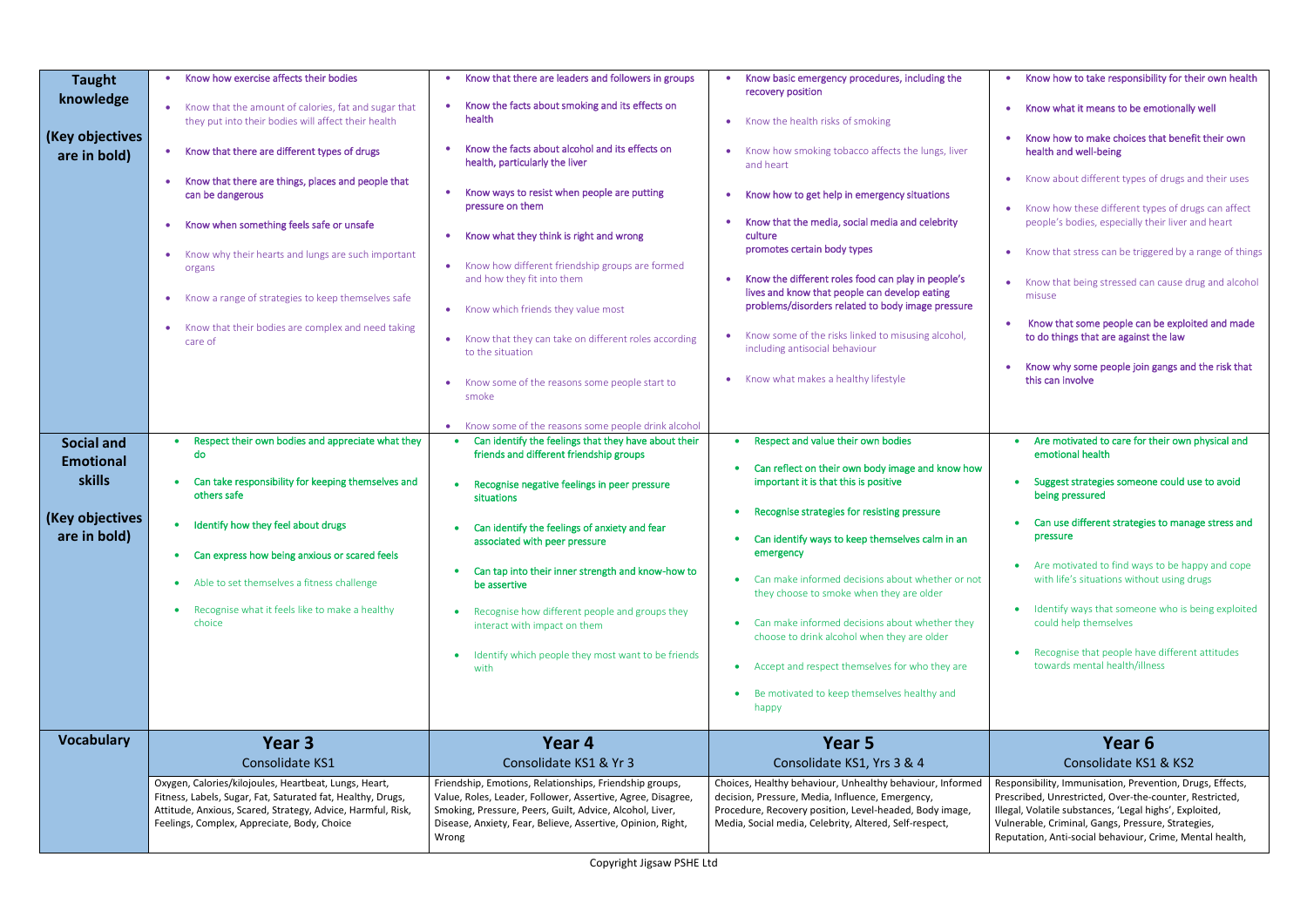| <b>Vocabulary</b>                               | Year 3<br>Consolidate KS1<br>Oxygen, Calories/kilojoules, Heartbeat, Lungs, Heart,<br>Fitness, Labels, Sugar, Fat, Saturated fat, Healthy, Drugs,<br>Attitude, Anxious, Scared, Strategy, Advice, Harmful, Risk,<br>Feelings, Complex, Appreciate, Body, Choice | Year 4<br>Consolidate KS1 & Yr 3<br>Friendship, Emotions, Relationships, Friendship groups,<br>Value, Roles, Leader, Follower, Assertive, Agree, Disagree,<br>Smoking, Pressure, Peers, Guilt, Advice, Alcohol, Liver,<br>Disease, Anxiety, Fear, Believe, Assertive, Opinion, Right,<br>Wrong | Year 5<br>Consolidate KS1, Yrs 3 & 4<br>Choices, Healthy behaviour, Unhealthy behaviour, Informed<br>decision, Pressure, Media, Influence, Emergency,<br>Procedure, Recovery position, Level-headed, Body image,<br>Media, Social media, Celebrity, Altered, Self-respect, | Year 6<br>Consolidate KS1 & KS2<br>Responsibility, Immunisation, Prevention, Drugs, Effects,<br>Prescribed, Unrestricted, Over-the-counter, Restricted,<br>Illegal, Volatile substances, 'Legal highs', Exploited,<br>Vulnerable, Criminal, Gangs, Pressure, Strategies,<br>Reputation, Anti-social behaviour, Crime, Mental health, |
|-------------------------------------------------|-----------------------------------------------------------------------------------------------------------------------------------------------------------------------------------------------------------------------------------------------------------------|------------------------------------------------------------------------------------------------------------------------------------------------------------------------------------------------------------------------------------------------------------------------------------------------|----------------------------------------------------------------------------------------------------------------------------------------------------------------------------------------------------------------------------------------------------------------------------|--------------------------------------------------------------------------------------------------------------------------------------------------------------------------------------------------------------------------------------------------------------------------------------------------------------------------------------|
|                                                 |                                                                                                                                                                                                                                                                 | Identify which people they most want to be friends<br>with                                                                                                                                                                                                                                     | choose to drink alcohol when they are older<br>Accept and respect themselves for who they are<br>$\bullet$<br>Be motivated to keep themselves healthy and<br>$\bullet$<br>happy                                                                                            | Recognise that people have different attitudes<br>towards mental health/illness                                                                                                                                                                                                                                                      |
|                                                 | Able to set themselves a fitness challenge<br>$\bullet$<br>Recognise what it feels like to make a healthy<br>$\bullet$<br>choice                                                                                                                                | be assertive<br>Recognise how different people and groups they<br>interact with impact on them                                                                                                                                                                                                 | Can make informed decisions about whether or not<br>$\bullet$<br>they choose to smoke when they are older<br>Can make informed decisions about whether they<br>$\bullet$                                                                                                   | with life's situations without using drugs<br>Identify ways that someone who is being exploited<br>could help themselves                                                                                                                                                                                                             |
| (Key objectives<br>are in bold)                 | Identify how they feel about drugs<br>$\bullet$<br>Can express how being anxious or scared feels                                                                                                                                                                | Can identify the feelings of anxiety and fear<br>associated with peer pressure<br>Can tap into their inner strength and know-how to                                                                                                                                                            | Recognise strategies for resisting pressure<br>$\bullet$<br>Can identify ways to keep themselves calm in an<br>emergency                                                                                                                                                   | Can use different strategies to manage stress and<br>pressure<br>Are motivated to find ways to be happy and cope                                                                                                                                                                                                                     |
| <b>Social and</b><br><b>Emotional</b><br>skills | Respect their own bodies and appreciate what they<br>do<br>Can take responsibility for keeping themselves and<br>others safe                                                                                                                                    | • Know some of the reasons some people drink alcohol<br>Can identify the feelings that they have about their<br>friends and different friendship groups<br>Recognise negative feelings in peer pressure<br>situations                                                                          | • Respect and value their own bodies<br>Can reflect on their own body image and know how<br>$\bullet$<br>important it is that this is positive                                                                                                                             | Are motivated to care for their own physical and<br>emotional health<br>Suggest strategies someone could use to avoid<br>being pressured                                                                                                                                                                                             |
|                                                 |                                                                                                                                                                                                                                                                 | Know some of the reasons some people start to<br>smoke                                                                                                                                                                                                                                         | Know what makes a healthy lifestyle<br>$\bullet$                                                                                                                                                                                                                           | Know why some people join gangs and the risk that<br>this can involve                                                                                                                                                                                                                                                                |
|                                                 | Know a range of strategies to keep themselves safe<br>• Know that their bodies are complex and need taking<br>care of                                                                                                                                           | • Know which friends they value most<br>• Know that they can take on different roles according<br>to the situation                                                                                                                                                                             | problems/disorders related to body image pressure<br>Know some of the risks linked to misusing alcohol,<br>including antisocial behaviour                                                                                                                                  | misuse<br>Know that some people can be exploited and made<br>to do things that are against the law                                                                                                                                                                                                                                   |
|                                                 | Know why their hearts and lungs are such important<br>organs                                                                                                                                                                                                    | Know what they think is right and wrong<br>• Know how different friendship groups are formed<br>and how they fit into them                                                                                                                                                                     | culture<br>promotes certain body types<br>Know the different roles food can play in people's<br>lives and know that people can develop eating                                                                                                                              | • Know that stress can be triggered by a range of things<br>• Know that being stressed can cause drug and alcohol                                                                                                                                                                                                                    |
|                                                 | Know that there are things, places and people that<br>can be dangerous<br>Know when something feels safe or unsafe                                                                                                                                              | Know ways to resist when people are putting<br>pressure on them                                                                                                                                                                                                                                | Know how to get help in emergency situations<br>Know that the media, social media and celebrity                                                                                                                                                                            | • Know about different types of drugs and their uses<br>• Know how these different types of drugs can affect<br>people's bodies, especially their liver and heart                                                                                                                                                                    |
| (Key objectives<br>are in bold)                 | Know that there are different types of drugs                                                                                                                                                                                                                    | Know the facts about alcohol and its effects on<br>health, particularly the liver                                                                                                                                                                                                              | Know how smoking tobacco affects the lungs, liver<br>and heart                                                                                                                                                                                                             | Know how to make choices that benefit their own<br>health and well-being                                                                                                                                                                                                                                                             |
| knowledge                                       | Know that the amount of calories, fat and sugar that<br>they put into their bodies will affect their health                                                                                                                                                     | Know the facts about smoking and its effects on<br>health                                                                                                                                                                                                                                      | recovery position<br>Know the health risks of smoking                                                                                                                                                                                                                      | Know what it means to be emotionally well                                                                                                                                                                                                                                                                                            |
| <b>Taught</b>                                   | Know how exercise affects their bodies                                                                                                                                                                                                                          | • Know that there are leaders and followers in groups                                                                                                                                                                                                                                          | Know basic emergency procedures, including the                                                                                                                                                                                                                             | • Know how to take responsibility for their own health                                                                                                                                                                                                                                                                               |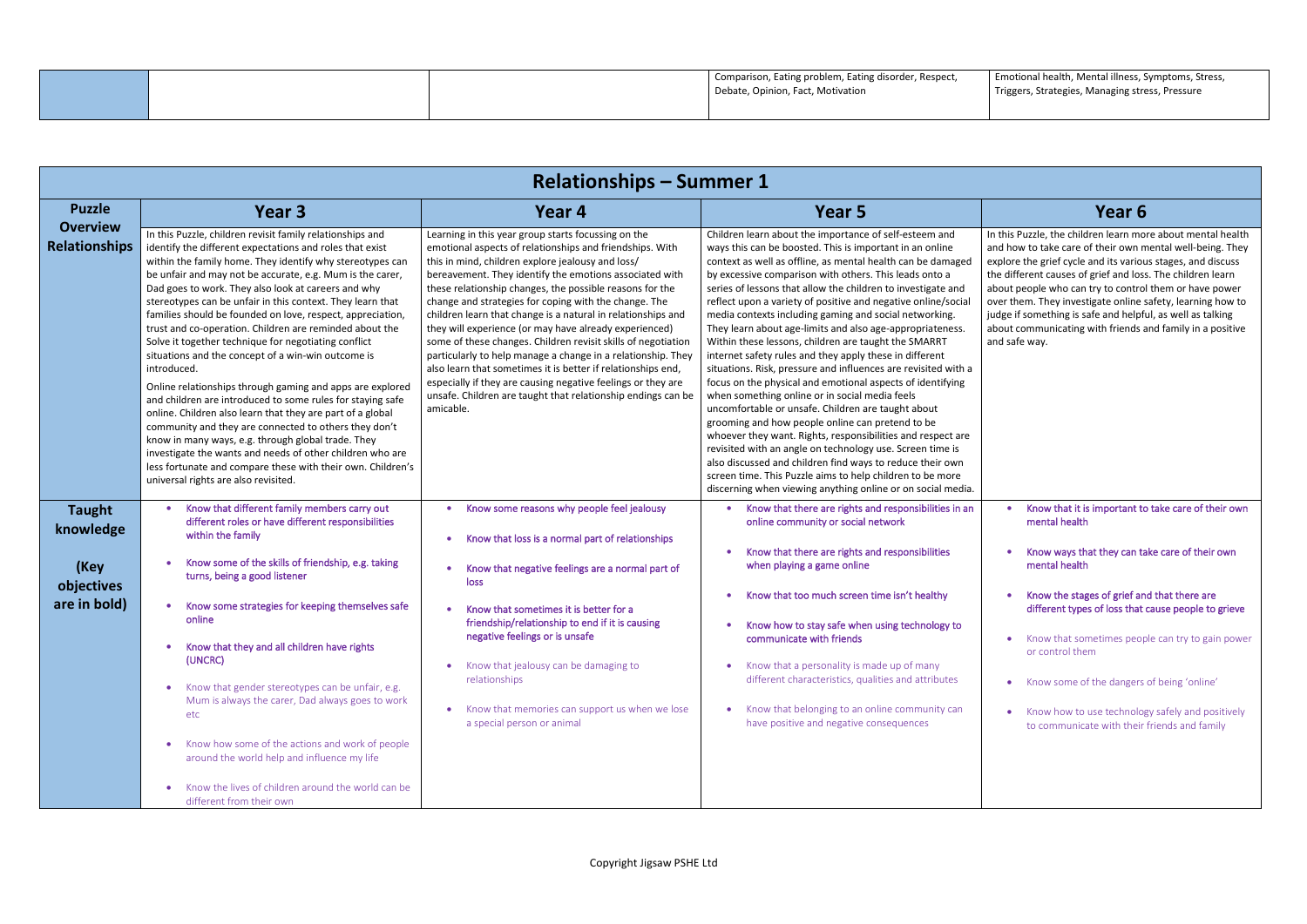Emotional health, Mental illness, Symptoms, Stress, Triggers, Strategies, Managing stress, Pressure

| <b>Relationships - Summer 1</b>         |                                                                                                                                                                                                                                                                                                                                                                                                                                                                                                                                                                                                                                                                                                                                                                                                                                                                                                                                                                                                                                                                                                        |                                                                                                                                                                                                                                                                                                                                                                                                                                                                                                                                                                                                                                                                                                                                                                                                                              |                                                                                                                                                                                                                                                                                                                                                                                                                                                                                                                                                                                                                                                                                                                                                                                                                                                                                                                                                                                                                                                                                                                                                                                                                                         |                                                                                                                                                                                                                                                                                                                                               |
|-----------------------------------------|--------------------------------------------------------------------------------------------------------------------------------------------------------------------------------------------------------------------------------------------------------------------------------------------------------------------------------------------------------------------------------------------------------------------------------------------------------------------------------------------------------------------------------------------------------------------------------------------------------------------------------------------------------------------------------------------------------------------------------------------------------------------------------------------------------------------------------------------------------------------------------------------------------------------------------------------------------------------------------------------------------------------------------------------------------------------------------------------------------|------------------------------------------------------------------------------------------------------------------------------------------------------------------------------------------------------------------------------------------------------------------------------------------------------------------------------------------------------------------------------------------------------------------------------------------------------------------------------------------------------------------------------------------------------------------------------------------------------------------------------------------------------------------------------------------------------------------------------------------------------------------------------------------------------------------------------|-----------------------------------------------------------------------------------------------------------------------------------------------------------------------------------------------------------------------------------------------------------------------------------------------------------------------------------------------------------------------------------------------------------------------------------------------------------------------------------------------------------------------------------------------------------------------------------------------------------------------------------------------------------------------------------------------------------------------------------------------------------------------------------------------------------------------------------------------------------------------------------------------------------------------------------------------------------------------------------------------------------------------------------------------------------------------------------------------------------------------------------------------------------------------------------------------------------------------------------------|-----------------------------------------------------------------------------------------------------------------------------------------------------------------------------------------------------------------------------------------------------------------------------------------------------------------------------------------------|
| <b>Puzzle</b>                           | Year 3                                                                                                                                                                                                                                                                                                                                                                                                                                                                                                                                                                                                                                                                                                                                                                                                                                                                                                                                                                                                                                                                                                 | Year 4                                                                                                                                                                                                                                                                                                                                                                                                                                                                                                                                                                                                                                                                                                                                                                                                                       | Year 5                                                                                                                                                                                                                                                                                                                                                                                                                                                                                                                                                                                                                                                                                                                                                                                                                                                                                                                                                                                                                                                                                                                                                                                                                                  | Year <sub>6</sub>                                                                                                                                                                                                                                                                                                                             |
| <b>Overview</b><br><b>Relationships</b> | In this Puzzle, children revisit family relationships and<br>identify the different expectations and roles that exist<br>within the family home. They identify why stereotypes can<br>be unfair and may not be accurate, e.g. Mum is the carer,<br>Dad goes to work. They also look at careers and why<br>stereotypes can be unfair in this context. They learn that<br>families should be founded on love, respect, appreciation,<br>trust and co-operation. Children are reminded about the<br>Solve it together technique for negotiating conflict<br>situations and the concept of a win-win outcome is<br>introduced.<br>Online relationships through gaming and apps are explored<br>and children are introduced to some rules for staying safe<br>online. Children also learn that they are part of a global<br>community and they are connected to others they don't<br>know in many ways, e.g. through global trade. They<br>investigate the wants and needs of other children who are<br>less fortunate and compare these with their own. Children's<br>universal rights are also revisited. | Learning in this year group starts focussing on the<br>emotional aspects of relationships and friendships. With<br>this in mind, children explore jealousy and loss/<br>bereavement. They identify the emotions associated with<br>these relationship changes, the possible reasons for the<br>change and strategies for coping with the change. The<br>children learn that change is a natural in relationships and<br>they will experience (or may have already experienced)<br>some of these changes. Children revisit skills of negotiation<br>particularly to help manage a change in a relationship. They<br>also learn that sometimes it is better if relationships end,<br>especially if they are causing negative feelings or they are<br>unsafe. Children are taught that relationship endings can be<br>amicable. | Children learn about the importance of self-esteem and<br>ways this can be boosted. This is important in an online<br>context as well as offline, as mental health can be damaged<br>by excessive comparison with others. This leads onto a<br>series of lessons that allow the children to investigate and<br>reflect upon a variety of positive and negative online/social<br>media contexts including gaming and social networking.<br>They learn about age-limits and also age-appropriateness.<br>Within these lessons, children are taught the SMARRT<br>internet safety rules and they apply these in different<br>situations. Risk, pressure and influences are revisited with a<br>focus on the physical and emotional aspects of identifying<br>when something online or in social media feels<br>uncomfortable or unsafe. Children are taught about<br>grooming and how people online can pretend to be<br>whoever they want. Rights, responsibilities and respect are<br>revisited with an angle on technology use. Screen time is<br>also discussed and children find ways to reduce their own<br>screen time. This Puzzle aims to help children to be more<br>discerning when viewing anything online or on social media. | In this Puzzle, the children learn mo<br>and how to take care of their own n<br>explore the grief cycle and its variou<br>the different causes of grief and los.<br>about people who can try to contro<br>over them. They investigate online :<br>judge if something is safe and helpf<br>about communicating with friends a<br>and safe way. |
| <b>Taught</b><br>knowledge              | Know that different family members carry out<br>different roles or have different responsibilities<br>within the family                                                                                                                                                                                                                                                                                                                                                                                                                                                                                                                                                                                                                                                                                                                                                                                                                                                                                                                                                                                | Know some reasons why people feel jealousy<br>Know that loss is a normal part of relationships                                                                                                                                                                                                                                                                                                                                                                                                                                                                                                                                                                                                                                                                                                                               | Know that there are rights and responsibilities in an<br>online community or social network                                                                                                                                                                                                                                                                                                                                                                                                                                                                                                                                                                                                                                                                                                                                                                                                                                                                                                                                                                                                                                                                                                                                             | Know that it is important to<br>mental health                                                                                                                                                                                                                                                                                                 |
| (Key                                    | Know some of the skills of friendship, e.g. taking<br>turns, being a good listener                                                                                                                                                                                                                                                                                                                                                                                                                                                                                                                                                                                                                                                                                                                                                                                                                                                                                                                                                                                                                     | Know that negative feelings are a normal part of<br>loss                                                                                                                                                                                                                                                                                                                                                                                                                                                                                                                                                                                                                                                                                                                                                                     | Know that there are rights and responsibilities<br>when playing a game online                                                                                                                                                                                                                                                                                                                                                                                                                                                                                                                                                                                                                                                                                                                                                                                                                                                                                                                                                                                                                                                                                                                                                           | Know ways that they can ta<br>mental health                                                                                                                                                                                                                                                                                                   |
| objectives<br>are in bold)              | Know some strategies for keeping themselves safe<br>online                                                                                                                                                                                                                                                                                                                                                                                                                                                                                                                                                                                                                                                                                                                                                                                                                                                                                                                                                                                                                                             | Know that sometimes it is better for a<br>friendship/relationship to end if it is causing<br>negative feelings or is unsafe                                                                                                                                                                                                                                                                                                                                                                                                                                                                                                                                                                                                                                                                                                  | Know that too much screen time isn't healthy<br>Know how to stay safe when using technology to<br>communicate with friends                                                                                                                                                                                                                                                                                                                                                                                                                                                                                                                                                                                                                                                                                                                                                                                                                                                                                                                                                                                                                                                                                                              | Know the stages of grief an<br>different types of loss that<br>Know that sometimes peop                                                                                                                                                                                                                                                       |
|                                         | Know that they and all children have rights<br>(UNCRC)<br>• Know that gender stereotypes can be unfair, e.g.                                                                                                                                                                                                                                                                                                                                                                                                                                                                                                                                                                                                                                                                                                                                                                                                                                                                                                                                                                                           | Know that jealousy can be damaging to<br>$\bullet$<br>relationships                                                                                                                                                                                                                                                                                                                                                                                                                                                                                                                                                                                                                                                                                                                                                          | Know that a personality is made up of many<br>$\bullet$<br>different characteristics, qualities and attributes                                                                                                                                                                                                                                                                                                                                                                                                                                                                                                                                                                                                                                                                                                                                                                                                                                                                                                                                                                                                                                                                                                                          | or control them<br>Know some of the dangers<br>$\bullet$                                                                                                                                                                                                                                                                                      |
|                                         | Mum is always the carer, Dad always goes to work<br>etc                                                                                                                                                                                                                                                                                                                                                                                                                                                                                                                                                                                                                                                                                                                                                                                                                                                                                                                                                                                                                                                | Know that memories can support us when we lose<br>$\bullet$<br>a special person or animal                                                                                                                                                                                                                                                                                                                                                                                                                                                                                                                                                                                                                                                                                                                                    | Know that belonging to an online community can<br>have positive and negative consequences                                                                                                                                                                                                                                                                                                                                                                                                                                                                                                                                                                                                                                                                                                                                                                                                                                                                                                                                                                                                                                                                                                                                               | Know how to use technolog<br>$\bullet$<br>to communicate with their                                                                                                                                                                                                                                                                           |
|                                         | Know how some of the actions and work of people<br>$\bullet$<br>around the world help and influence my life                                                                                                                                                                                                                                                                                                                                                                                                                                                                                                                                                                                                                                                                                                                                                                                                                                                                                                                                                                                            |                                                                                                                                                                                                                                                                                                                                                                                                                                                                                                                                                                                                                                                                                                                                                                                                                              |                                                                                                                                                                                                                                                                                                                                                                                                                                                                                                                                                                                                                                                                                                                                                                                                                                                                                                                                                                                                                                                                                                                                                                                                                                         |                                                                                                                                                                                                                                                                                                                                               |
|                                         | Know the lives of children around the world can be<br>different from their own                                                                                                                                                                                                                                                                                                                                                                                                                                                                                                                                                                                                                                                                                                                                                                                                                                                                                                                                                                                                                         |                                                                                                                                                                                                                                                                                                                                                                                                                                                                                                                                                                                                                                                                                                                                                                                                                              |                                                                                                                                                                                                                                                                                                                                                                                                                                                                                                                                                                                                                                                                                                                                                                                                                                                                                                                                                                                                                                                                                                                                                                                                                                         |                                                                                                                                                                                                                                                                                                                                               |

In this Puzzle, the children learn more about mental health and how to take care of their own mental well-being. They explore the grief cycle and its various stages, and discuss the different causes of grief and loss. The children learn about people who can try to control them or have power over them. They investigate online safety, learning how to judge if something is safe and helpful, as well as talking about communicating with friends and family in a positive and safe way.

- Know that it is important to take care of their own mental health
- Know ways that they can take care of their own mental health
- Know the stages of grief and that there are different types of loss that cause people to grieve
- Know that sometimes people can try to gain power or control them
- Know some of the dangers of being 'online'
- Know how to use technology safely and positively to communicate with their friends and family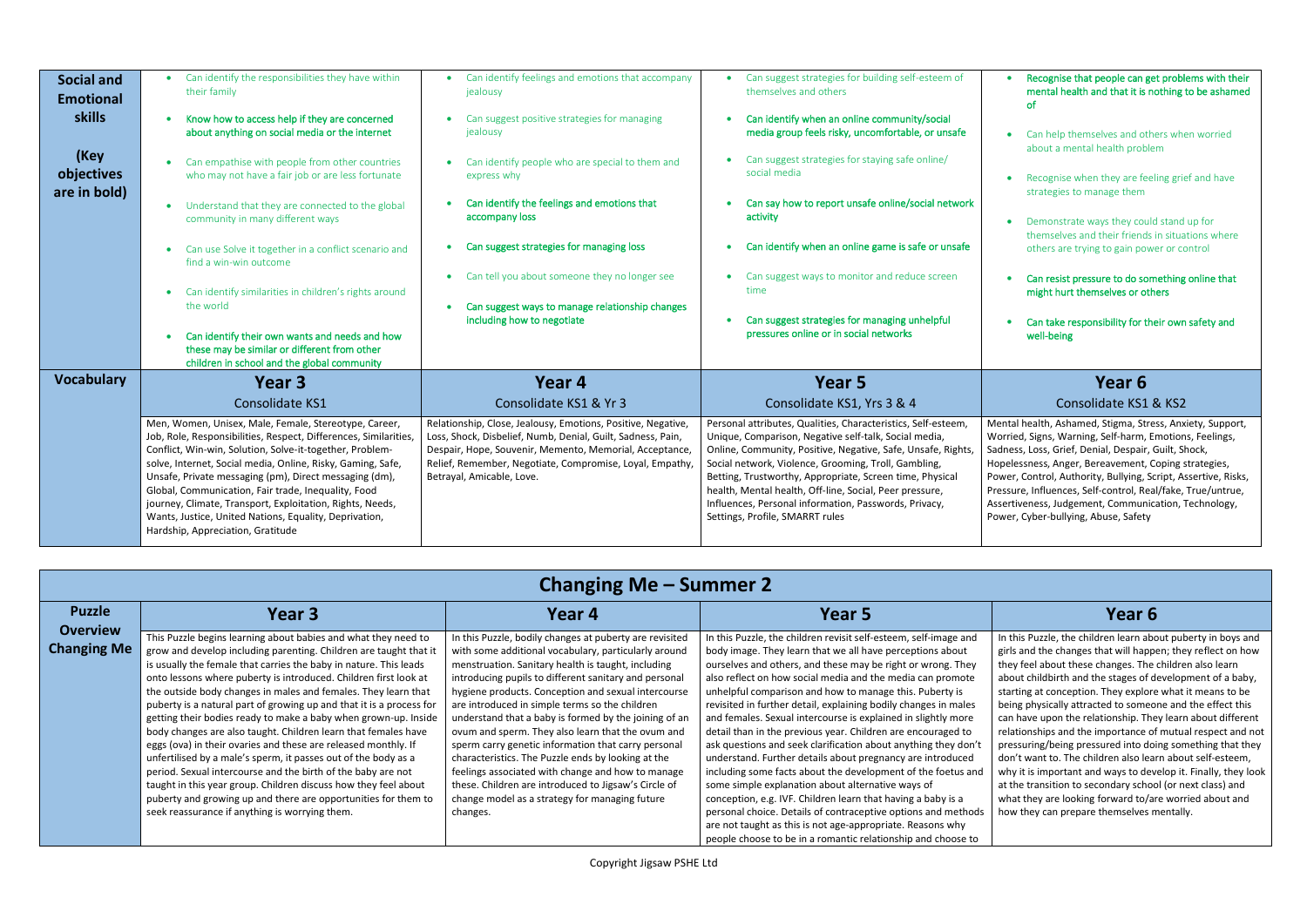| <b>Social and</b><br><b>Emotional</b><br><b>skills</b><br>(Key<br>objectives<br>are in bold) | Can identify the responsibilities they have within<br>their family<br>Know how to access help if they are concerned<br>about anything on social media or the internet<br>Can empathise with people from other countries<br>who may not have a fair job or are less fortunate<br>Understand that they are connected to the global<br>۰<br>community in many different ways<br>Can use Solve it together in a conflict scenario and<br>find a win-win outcome<br>Can identify similarities in children's rights around<br>٠<br>the world<br>Can identify their own wants and needs and how<br>these may be similar or different from other | Can identify feelings and emotions that accompany<br>jealousy<br>Can suggest positive strategies for managing<br>jealousy<br>Can identify people who are special to them and<br>$\bullet$<br>express why<br>Can identify the feelings and emotions that<br>$\bullet$<br>accompany loss<br>Can suggest strategies for managing loss<br>Can tell you about someone they no longer see<br>$\bullet$<br>Can suggest ways to manage relationship changes<br>$\bullet$<br>including how to negotiate | Can suggest strategies for building self-esteem of<br>themselves and others<br>Can identify when an online community/social<br>media group feels risky, uncomfortable, or unsafe<br>Can suggest strategies for staying safe online/<br>social media<br>Can say how to report unsafe online/social network<br>activity<br>Can identify when an online game is safe or unsafe<br>Can suggest ways to monitor and reduce screen<br>time<br>Can suggest strategies for managing unhelpful<br>pressures online or in social networks |
|----------------------------------------------------------------------------------------------|------------------------------------------------------------------------------------------------------------------------------------------------------------------------------------------------------------------------------------------------------------------------------------------------------------------------------------------------------------------------------------------------------------------------------------------------------------------------------------------------------------------------------------------------------------------------------------------------------------------------------------------|------------------------------------------------------------------------------------------------------------------------------------------------------------------------------------------------------------------------------------------------------------------------------------------------------------------------------------------------------------------------------------------------------------------------------------------------------------------------------------------------|---------------------------------------------------------------------------------------------------------------------------------------------------------------------------------------------------------------------------------------------------------------------------------------------------------------------------------------------------------------------------------------------------------------------------------------------------------------------------------------------------------------------------------|
| <b>Vocabulary</b>                                                                            | children in school and the global community<br>Year 3<br>Consolidate KS1<br>Men, Women, Unisex, Male, Female, Stereotype, Career,<br>Job, Role, Responsibilities, Respect, Differences, Similarities,<br>Conflict, Win-win, Solution, Solve-it-together, Problem-<br>solve, Internet, Social media, Online, Risky, Gaming, Safe,<br>Unsafe, Private messaging (pm), Direct messaging (dm),<br>Global, Communication, Fair trade, Inequality, Food<br>journey, Climate, Transport, Exploitation, Rights, Needs,<br>Wants, Justice, United Nations, Equality, Deprivation,<br>Hardship, Appreciation, Gratitude                            | Year 4<br>Consolidate KS1 & Yr 3<br>Relationship, Close, Jealousy, Emotions, Positive, Negative,<br>Loss, Shock, Disbelief, Numb, Denial, Guilt, Sadness, Pain,<br>Despair, Hope, Souvenir, Memento, Memorial, Acceptance,<br>Relief, Remember, Negotiate, Compromise, Loyal, Empathy,<br>Betrayal, Amicable, Love.                                                                                                                                                                            | Year <sub>5</sub><br>Consolidate KS1, Yrs 3 & 4<br>Personal attributes, Qualities, Characteristics, Self-esteem,<br>Unique, Comparison, Negative self-talk, Social media,<br>Online, Community, Positive, Negative, Safe, Unsafe, Rights,<br>Social network, Violence, Grooming, Troll, Gambling,<br>Betting, Trustworthy, Appropriate, Screen time, Physical<br>health, Mental health, Off-line, Social, Peer pressure,<br>Influences, Personal information, Passwords, Privacy,<br>Settings, Profile, SMARRT rules            |

- Recognise that people can get problems with their mental health and that it is nothing to be ashamed of
- Can help themselves and others when worried about a mental health problem
- Recognise when they are feeling grief and have strategies to manage them
- Demonstrate ways they could stand up for themselves and their friends in situations where others are trying to gain power or control
- Can resist pressure to do something online that might hurt themselves or others
- Can take responsibility for their own safety and well-being

## **Year 6** Consolidate KS1 & KS2

In this Puzzle, the children learn about puberty in boys and girls and the changes that will happen; they reflect on how they feel about these changes. The children also learn about childbirth and the stages of development of a baby, starting at conception. They explore what it means to be being physically attracted to someone and the effect this can have upon the relationship. They learn about different relationships and the importance of mutual respect and not pressuring/being pressured into doing something that they don't want to. The children also learn about self-esteem, why it is important and ways to develop it. Finally, they look at the transition to secondary school (or next class) and what they are looking forward to/are worried about and how they can prepare themselves mentally.

Mental health, Ashamed, Stigma, Stress, Anxiety, Support, Worried, Signs, Warning, Self-harm, Emotions, Feelings, Sadness, Loss, Grief, Denial, Despair, Guilt, Shock, Hopelessness, Anger, Bereavement, Coping strategies, Power, Control, Authority, Bullying, Script, Assertive, Risks, Pressure, Influences, Self-control, Real/fake, True/untrue, Assertiveness, Judgement, Communication, Technology, Power, Cyber-bullying, Abuse, Safety

| <b>Changing Me – Summer 2</b>    |                                                                                                                                                                                                                                                                                                                                                                                                                                                                                                                                                                                                                                                                                                                                                                                                                                                                                                                                                        |                                                                                                                                                                                                                                                                                                                                                                                                                                                                                                                                                                                                                                                                                                                                               |                                                                                                                                                                                                                                                                                                                                                                                                                                                                                                                                                                                                                                                                                                                                                                                                                                                                                                                                                                                                                                               |                                                                                                                                                                                                                                                                                                                                                                                                                                                                                                                                                                    |
|----------------------------------|--------------------------------------------------------------------------------------------------------------------------------------------------------------------------------------------------------------------------------------------------------------------------------------------------------------------------------------------------------------------------------------------------------------------------------------------------------------------------------------------------------------------------------------------------------------------------------------------------------------------------------------------------------------------------------------------------------------------------------------------------------------------------------------------------------------------------------------------------------------------------------------------------------------------------------------------------------|-----------------------------------------------------------------------------------------------------------------------------------------------------------------------------------------------------------------------------------------------------------------------------------------------------------------------------------------------------------------------------------------------------------------------------------------------------------------------------------------------------------------------------------------------------------------------------------------------------------------------------------------------------------------------------------------------------------------------------------------------|-----------------------------------------------------------------------------------------------------------------------------------------------------------------------------------------------------------------------------------------------------------------------------------------------------------------------------------------------------------------------------------------------------------------------------------------------------------------------------------------------------------------------------------------------------------------------------------------------------------------------------------------------------------------------------------------------------------------------------------------------------------------------------------------------------------------------------------------------------------------------------------------------------------------------------------------------------------------------------------------------------------------------------------------------|--------------------------------------------------------------------------------------------------------------------------------------------------------------------------------------------------------------------------------------------------------------------------------------------------------------------------------------------------------------------------------------------------------------------------------------------------------------------------------------------------------------------------------------------------------------------|
| <b>Puzzle</b><br><b>Overview</b> | Year 3                                                                                                                                                                                                                                                                                                                                                                                                                                                                                                                                                                                                                                                                                                                                                                                                                                                                                                                                                 | Year 4                                                                                                                                                                                                                                                                                                                                                                                                                                                                                                                                                                                                                                                                                                                                        | <b>Year 5</b>                                                                                                                                                                                                                                                                                                                                                                                                                                                                                                                                                                                                                                                                                                                                                                                                                                                                                                                                                                                                                                 | <b>Year 6</b>                                                                                                                                                                                                                                                                                                                                                                                                                                                                                                                                                      |
| <b>Changing Me</b>               | This Puzzle begins learning about babies and what they need to<br>grow and develop including parenting. Children are taught that it<br>is usually the female that carries the baby in nature. This leads<br>onto lessons where puberty is introduced. Children first look at<br>the outside body changes in males and females. They learn that<br>puberty is a natural part of growing up and that it is a process for<br>getting their bodies ready to make a baby when grown-up. Inside<br>body changes are also taught. Children learn that females have<br>eggs (ova) in their ovaries and these are released monthly. If<br>unfertilised by a male's sperm, it passes out of the body as a<br>period. Sexual intercourse and the birth of the baby are not<br>taught in this year group. Children discuss how they feel about<br>puberty and growing up and there are opportunities for them to<br>seek reassurance if anything is worrying them. | In this Puzzle, bodily changes at puberty are revisited<br>with some additional vocabulary, particularly around<br>menstruation. Sanitary health is taught, including<br>introducing pupils to different sanitary and personal<br>hygiene products. Conception and sexual intercourse<br>are introduced in simple terms so the children<br>understand that a baby is formed by the joining of an<br>ovum and sperm. They also learn that the ovum and<br>sperm carry genetic information that carry personal<br>characteristics. The Puzzle ends by looking at the<br>feelings associated with change and how to manage<br>these. Children are introduced to Jigsaw's Circle of<br>change model as a strategy for managing future<br>changes. | In this Puzzle, the children revisit self-esteem, self-image and<br>body image. They learn that we all have perceptions about<br>ourselves and others, and these may be right or wrong. They<br>also reflect on how social media and the media can promote<br>unhelpful comparison and how to manage this. Puberty is<br>revisited in further detail, explaining bodily changes in males<br>and females. Sexual intercourse is explained in slightly more<br>detail than in the previous year. Children are encouraged to<br>ask questions and seek clarification about anything they don't<br>understand. Further details about pregnancy are introduced<br>including some facts about the development of the foetus and<br>some simple explanation about alternative ways of<br>conception, e.g. IVF. Children learn that having a baby is a<br>personal choice. Details of contraceptive options and methods<br>are not taught as this is not age-appropriate. Reasons why<br>people choose to be in a romantic relationship and choose to | In this Puzzle, the children learn abo<br>girls and the changes that will happ<br>they feel about these changes. The<br>about childbirth and the stages of d<br>starting at conception. They explore<br>being physically attracted to someo<br>can have upon the relationship. The<br>relationships and the importance of<br>pressuring/being pressured into doi<br>don't want to. The children also lea<br>why it is important and ways to dev<br>at the transition to secondary schoo<br>what they are looking forward to/a<br>how they can prepare themselves n |
|                                  |                                                                                                                                                                                                                                                                                                                                                                                                                                                                                                                                                                                                                                                                                                                                                                                                                                                                                                                                                        |                                                                                                                                                                                                                                                                                                                                                                                                                                                                                                                                                                                                                                                                                                                                               |                                                                                                                                                                                                                                                                                                                                                                                                                                                                                                                                                                                                                                                                                                                                                                                                                                                                                                                                                                                                                                               |                                                                                                                                                                                                                                                                                                                                                                                                                                                                                                                                                                    |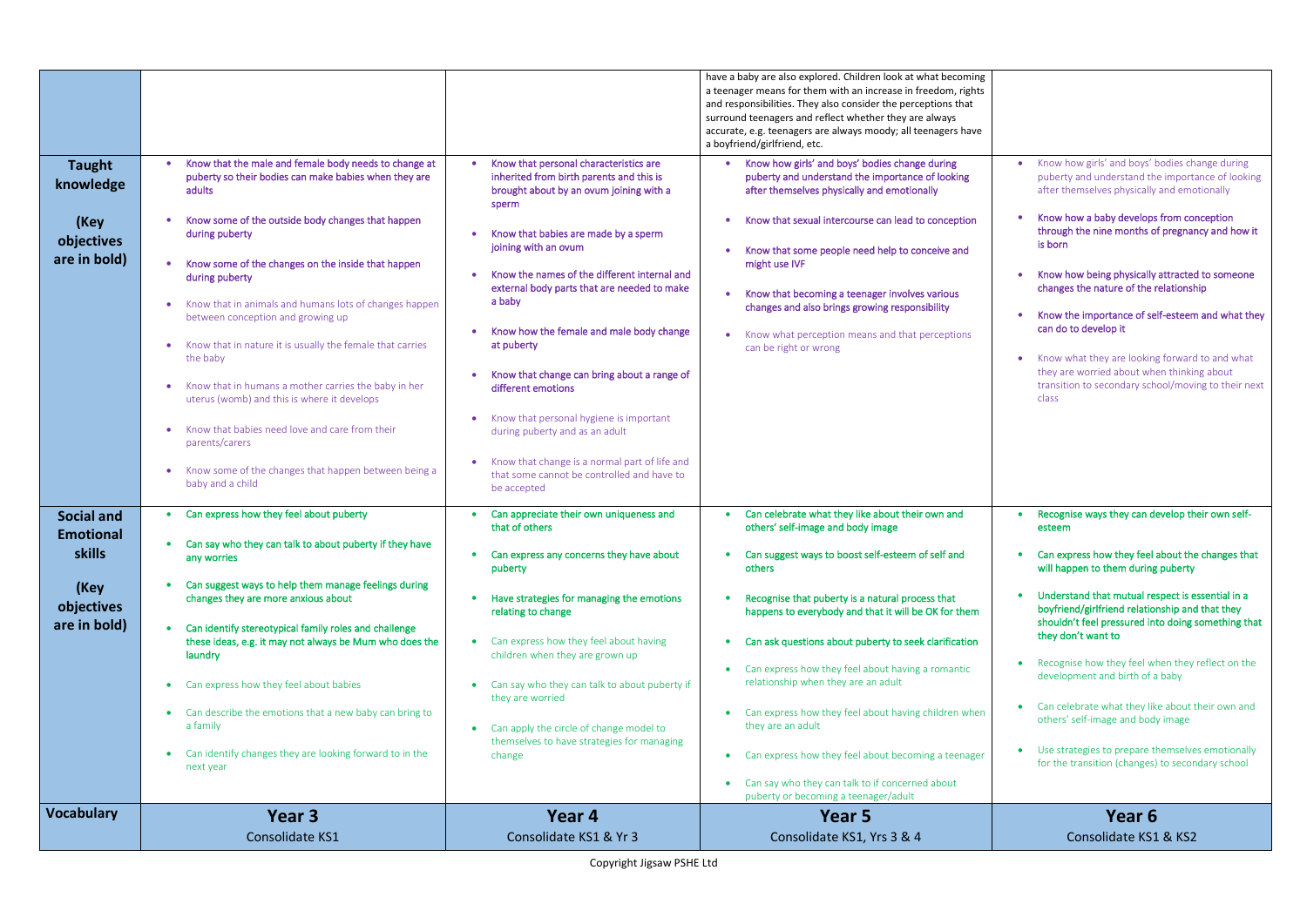| <b>Vocabulary</b>          | Year 3<br><b>Consolidate KS1</b>                                                                                         | Year 4<br>Consolidate KS1 & Yr 3                                                                           | Year 5<br>Consolidate KS1, Yrs 3 & 4                                                                                                                                                                                                                                                      |
|----------------------------|--------------------------------------------------------------------------------------------------------------------------|------------------------------------------------------------------------------------------------------------|-------------------------------------------------------------------------------------------------------------------------------------------------------------------------------------------------------------------------------------------------------------------------------------------|
|                            |                                                                                                                          |                                                                                                            | Can say who they can talk to if concerned about<br>$\bullet$<br>puberty or becoming a teenager/adult                                                                                                                                                                                      |
|                            | Can identify changes they are looking forward to in the<br>$\bullet$<br>next year                                        | change                                                                                                     | Can express how they feel about becoming a teenager<br>$\bullet$                                                                                                                                                                                                                          |
|                            | a family                                                                                                                 | Can apply the circle of change model to<br>themselves to have strategies for managing                      | they are an adult                                                                                                                                                                                                                                                                         |
|                            | Can describe the emotions that a new baby can bring to                                                                   | they are worried                                                                                           | Can express how they feel about having children when                                                                                                                                                                                                                                      |
|                            | laundry<br>Can express how they feel about babies                                                                        | Can say who they can talk to about puberty if                                                              | Can express how they feel about having a romantic<br>relationship when they are an adult                                                                                                                                                                                                  |
| are in bold)               | Can identify stereotypical family roles and challenge<br>these ideas, e.g. it may not always be Mum who does the         | Can express how they feel about having<br>children when they are grown up                                  | Can ask questions about puberty to seek clarification                                                                                                                                                                                                                                     |
| (Key<br>objectives         | changes they are more anxious about                                                                                      | Have strategies for managing the emotions<br>relating to change                                            | Recognise that puberty is a natural process that<br>happens to everybody and that it will be OK for them                                                                                                                                                                                  |
| <b>skills</b>              | any worries<br>Can suggest ways to help them manage feelings during                                                      | Can express any concerns they have about<br>puberty                                                        | Can suggest ways to boost self-esteem of self and<br>others                                                                                                                                                                                                                               |
| <b>Emotional</b>           | Can say who they can talk to about puberty if they have                                                                  | that of others                                                                                             | others' self-image and body image                                                                                                                                                                                                                                                         |
| <b>Social and</b>          | Can express how they feel about puberty                                                                                  | Can appreciate their own uniqueness and                                                                    | Can celebrate what they like about their own and                                                                                                                                                                                                                                          |
|                            | Know some of the changes that happen between being a<br>baby and a child                                                 | Know that change is a normal part of life and<br>that some cannot be controlled and have to<br>be accepted |                                                                                                                                                                                                                                                                                           |
|                            | Know that babies need love and care from their<br>parents/carers                                                         | Know that personal hygiene is important<br>during puberty and as an adult                                  |                                                                                                                                                                                                                                                                                           |
|                            | Know that in humans a mother carries the baby in her<br>uterus (womb) and this is where it develops                      | Know that change can bring about a range of<br>different emotions                                          |                                                                                                                                                                                                                                                                                           |
|                            | Know that in nature it is usually the female that carries<br>the baby                                                    | at puberty                                                                                                 | can be right or wrong                                                                                                                                                                                                                                                                     |
|                            | Know that in animals and humans lots of changes happen<br>between conception and growing up                              | a baby<br>Know how the female and male body change                                                         | changes and also brings growing responsibility<br>Know what perception means and that perceptions                                                                                                                                                                                         |
|                            | during puberty                                                                                                           | Know the names of the different internal and<br>external body parts that are needed to make                | Know that becoming a teenager involves various                                                                                                                                                                                                                                            |
| objectives<br>are in bold) | during puberty<br>Know some of the changes on the inside that happen                                                     | Know that babies are made by a sperm<br>joining with an ovum                                               | Know that some people need help to conceive and<br>might use IVF                                                                                                                                                                                                                          |
| (Key                       | Know some of the outside body changes that happen                                                                        | brought about by an ovum joining with a<br>sperm                                                           | after themselves physically and emotionally<br>Know that sexual intercourse can lead to conception                                                                                                                                                                                        |
| <b>Taught</b><br>knowledge | Know that the male and female body needs to change at<br>puberty so their bodies can make babies when they are<br>adults | Know that personal characteristics are<br>inherited from birth parents and this is                         | Know how girls' and boys' bodies change during<br>$\bullet$<br>puberty and understand the importance of looking                                                                                                                                                                           |
|                            |                                                                                                                          |                                                                                                            | a teenager means for them with an increase in freedom, rights<br>and responsibilities. They also consider the perceptions that<br>surround teenagers and reflect whether they are always<br>accurate, e.g. teenagers are always moody; all teenagers have<br>a boyfriend/girlfriend, etc. |
|                            |                                                                                                                          |                                                                                                            | have a baby are also explored. Children look at what becoming                                                                                                                                                                                                                             |

|                       | Know how girls' and boys' bodies change during                                                                                                                                  |  |  |
|-----------------------|---------------------------------------------------------------------------------------------------------------------------------------------------------------------------------|--|--|
|                       | puberty and understand the importance of looking<br>after themselves physically and emotionally                                                                                 |  |  |
|                       | Know how a baby develops from conception<br>through the nine months of pregnancy and how it<br>is born                                                                          |  |  |
|                       | Know how being physically attracted to someone<br>changes the nature of the relationship                                                                                        |  |  |
|                       | Know the importance of self-esteem and what they<br>can do to develop it                                                                                                        |  |  |
|                       | Know what they are looking forward to and what<br>they are worried about when thinking about<br>transition to secondary school/moving to their next<br>class                    |  |  |
|                       |                                                                                                                                                                                 |  |  |
|                       |                                                                                                                                                                                 |  |  |
|                       | Recognise ways they can develop their own self-<br>esteem                                                                                                                       |  |  |
|                       | Can express how they feel about the changes that<br>will happen to them during puberty                                                                                          |  |  |
|                       | Understand that mutual respect is essential in a<br>boyfriend/girlfriend relationship and that they<br>shouldn't feel pressured into doing something that<br>they don't want to |  |  |
|                       | Recognise how they feel when they reflect on the<br>development and birth of a baby                                                                                             |  |  |
|                       | Can celebrate what they like about their own and<br>others' self-image and body image                                                                                           |  |  |
|                       | Use strategies to prepare themselves emotionally<br>for the transition (changes) to secondary school                                                                            |  |  |
|                       | Year <sub>6</sub>                                                                                                                                                               |  |  |
| Consolidate KS1 & KS2 |                                                                                                                                                                                 |  |  |